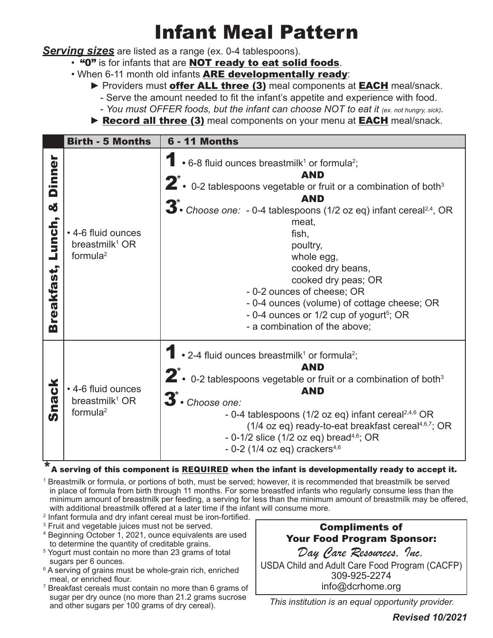## Infant Meal Pattern

*Serving sizes* are listed as a range (ex. 0-4 tablespoons).

- "O" is for infants that are **NOT ready to eat solid foods**.
- When 6-11 month old infants ARE developmentally ready:
	- ► Providers must **offer ALL three (3)** meal components at **EACH** meal/snack. - Serve the amount needed to fit the infant's appetite and experience with food.
		- *You must OFFER foods, but the infant can choose NOT to eat it (ex. not hungry, sick).*
	- ► Record all three (3) meal components on your menu at EACH meal/snack.

|                                                               | <b>Birth - 5 Months</b>                                         | <b>6 - 11 Months</b>                                                                                                                                                                                                                                                                                                                                                                                                                                                                                                                                         |
|---------------------------------------------------------------|-----------------------------------------------------------------|--------------------------------------------------------------------------------------------------------------------------------------------------------------------------------------------------------------------------------------------------------------------------------------------------------------------------------------------------------------------------------------------------------------------------------------------------------------------------------------------------------------------------------------------------------------|
| <b>Dinner</b><br><b>oğ</b><br>Lunch,<br>reakfast,<br><b>m</b> | • 4-6 fluid ounces<br>breastmilk <sup>1</sup> OR<br>formula $2$ | • 6-8 fluid ounces breastmilk <sup>1</sup> or formula <sup>2</sup> ;<br><b>AND</b><br>$2^{\ast}$ $\cdot$ 0-2 tablespoons vegetable or fruit or a combination of both <sup>3</sup><br><b>AND</b><br>$\overline{3}$ . Choose one: - 0-4 tablespoons (1/2 oz eq) infant cereal <sup>2,4</sup> , OR<br>meat,<br>fish,<br>poultry,<br>whole egg,<br>cooked dry beans,<br>cooked dry peas; OR<br>- 0-2 ounces of cheese; OR<br>- 0-4 ounces (volume) of cottage cheese; OR<br>- 0-4 ounces or 1/2 cup of yogurt <sup>5</sup> ; OR<br>- a combination of the above; |
| nack<br>S                                                     | • 4-6 fluid ounces<br>breastmilk <sup>1</sup> OR<br>formula $2$ | • 2-4 fluid ounces breastmilk <sup>1</sup> or formula <sup>2</sup> ;<br><b>AND</b><br>$2^{\ast}$ . 0-2 tablespoons vegetable or fruit or a combination of both <sup>3</sup><br><b>AND</b><br>3 <sup>*</sup> Choose one:<br>- 0-4 tablespoons (1/2 oz eq) infant cereal <sup>2,4,6</sup> OR<br>(1/4 oz eq) ready-to-eat breakfast cereal <sup>4,6,7</sup> ; OR<br>- $0-1/2$ slice (1/2 oz eq) bread <sup>4,6</sup> ; OR<br>- 0-2 (1/4 oz eq) crackers $4,6$                                                                                                   |

## $^{\star}$  A serving of this component is <u>REQUIRED</u> when the infant is developmentally ready to accept it.

1 Breastmilk or formula, or portions of both, must be served; however, it is recommended that breastmilk be served in place of formula from birth through 11 months. For some breastfed infants who regularly consume less than the minimum amount of breastmilk per feeding, a serving for less than the minimum amount of breastmilk may be offered, with additional breastmilk offered at a later time if the infant will consume more.

- 2 Infant formula and dry infant cereal must be iron-fortified.
- 3 Fruit and vegetable juices must not be served.
- 4 Beginning October 1, 2021, ounce equivalents are used to determine the quantity of creditable grains.
- 5 Yogurt must contain no more than 23 grams of total sugars per 6 ounces.
- 6 A serving of grains must be whole-grain rich, enriched meal, or enriched flour.
- 7 Breakfast cereals must contain no more than 6 grams of sugar per dry ounce (no more than 21.2 grams sucrose and other sugars per 100 grams of dry cereal).

## Compliments of Your Food Program Sponsor: *Day Care Resources, Inc.*  USDA Child and Adult Care Food Program (CACFP) 309-925-2274 info@dcrhome.org

*This institution is an equal opportunity provider.*

*Revised 10/2021*